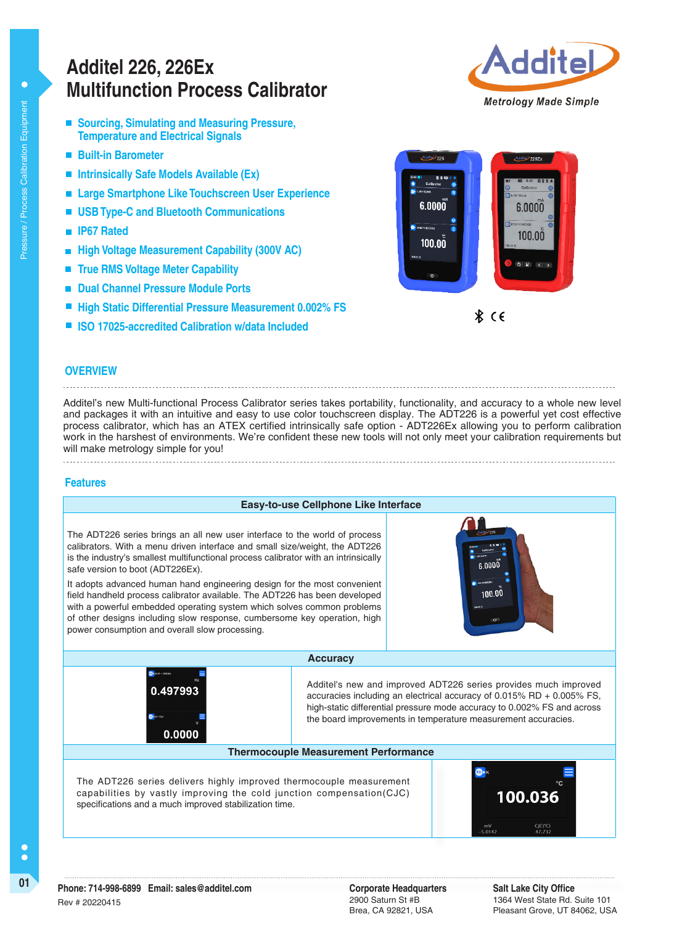# **Multifunction Process Calibrator Additel 226, 226Ex**

- Sourcing, Simulating and Measuring Pressure, **Temperature and Electrical Signals**
- **Built-in Barometer**
- **Intrinsically Safe Models Available (Ex)**
- $\blacksquare$ **Large Smartphone Like Touchscreen User Experience**
- **USB Type-C and Bluetooth Communications**
- **IP67 Rated**
- **High Voltage Measurement Capability (300V AC)**
- **True RMS Voltage Meter Capability**  $\blacksquare$
- **Dual Channel Pressure Module Ports**
- **High Static Differential Pressure Measurement 0.002% FS**
- **ISO 17025-accredited Calibration w/data Included**





 $\hat{x}$   $\in$ 

#### **OVERVIEW**

Additel's new Multi-functional Process Calibrator series takes portability, functionality, and accuracy to a whole new level and packages it with an intuitive and easy to use color touchscreen display. The ADT226 is a powerful yet cost effective process calibrator, which has an ATEX certified intrinsically safe option - ADT226Ex allowing you to perform calibration work in the harshest of environments. We're confident these new tools will not only meet your calibration requirements but will make metrology simple for you!

#### **Features**



specifications and a much improved stabilization time.

2900 Saturn St #B Brea, CA 92821, USA

**Salt Lake City Office** 1364 West State Rd. Suite 101 Pleasant Grove, UT 84062, USA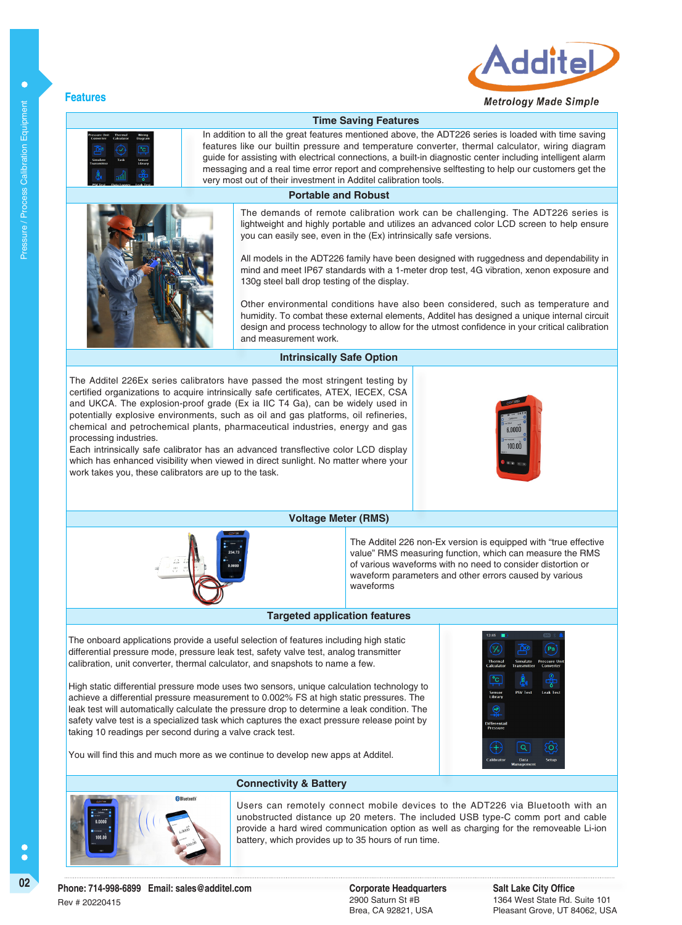

### **Metrology Made Simple**

r

## **Features**

## In addition to all the great features mentioned above, the ADT226 series is loaded with time saving **Time Saving Features**

features like our builtin pressure and temperature converter, thermal calculator, wiring diagram guide for assisting with electrical connections, a built-in diagnostic center including intelligent alarm messaging and a real time error report and comprehensive selftesting to help our customers get the very most out of their investment in Additel calibration tools.

#### **Portable and Robust**



The demands of remote calibration work can be challenging. The ADT226 series is lightweight and highly portable and utilizes an advanced color LCD screen to help ensure you can easily see, even in the (Ex) intrinsically safe versions.

All models in the ADT226 family have been designed with ruggedness and dependability in mind and meet IP67 standards with a 1-meter drop test, 4G vibration, xenon exposure and 130g steel ball drop testing of the display.

Other environmental conditions have also been considered, such as temperature and humidity. To combat these external elements, Additel has designed a unique internal circuit design and process technology to allow for the utmost confidence in your critical calibration and measurement work.

#### **Intrinsically Safe Option**

The Additel 226Ex series calibrators have passed the most stringent testing by certified organizations to acquire intrinsically safe certificates, ATEX, IECEX, CSA and UKCA. The explosion-proof grade (Ex ia IIC T4 Ga), can be widely used in potentially explosive environments, such as oil and gas platforms, oil refineries, chemical and petrochemical plants, pharmaceutical industries, energy and gas processing industries.

Each intrinsically safe calibrator has an advanced transflective color LCD display which has enhanced visibility when viewed in direct sunlight. No matter where your work takes you, these calibrators are up to the task.





#### **Voltage Meter (RMS)**

The Additel 226 non-Ex version is equipped with "true effective value" RMS measuring function, which can measure the RMS of various waveforms with no need to consider distortion or waveform parameters and other errors caused by various waveforms

#### **Targeted application features**

The onboard applications provide a useful selection of features including high static differential pressure mode, pressure leak test, safety valve test, analog transmitter calibration, unit converter, thermal calculator, and snapshots to name a few.

High static differential pressure mode uses two sensors, unique calculation technology to achieve a differential pressure measurement to 0.002% FS at high static pressures. The leak test will automatically calculate the pressure drop to determine a leak condition. The safety valve test is a specialized task which captures the exact pressure release point by taking 10 readings per second during a valve crack test.



You will find this and much more as we continue to develop new apps at Additel.



Users can remotely connect mobile devices to the ADT226 via Bluetooth with an unobstructed distance up 20 meters. The included USB type-C comm port and cable provide a hard wired communication option as well as charging for the removeable Li-ion battery, which provides up to 35 hours of run time.

2900 Saturn St #B Brea, CA 92821, USA **Salt Lake City Office** 1364 West State Rd. Suite 101 Pleasant Grove, UT 84062, USA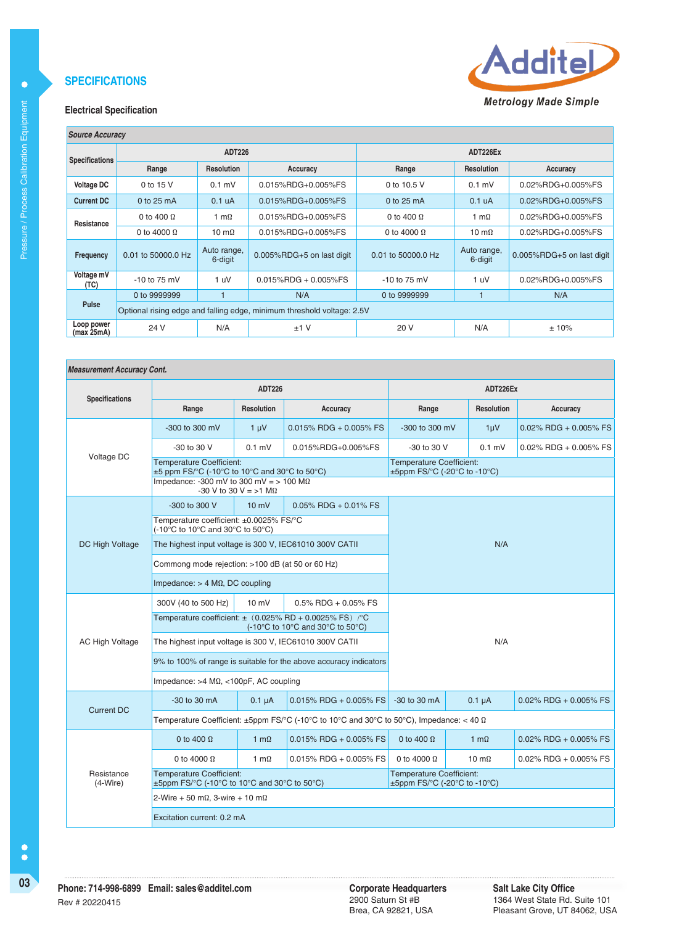

#### **Electrical Specification**

| <b>Source Accuracy</b>   |                                                                        |                        |                           |                    |                        |                           |  |
|--------------------------|------------------------------------------------------------------------|------------------------|---------------------------|--------------------|------------------------|---------------------------|--|
| <b>Specifications</b>    |                                                                        | <b>ADT226</b>          |                           | ADT226Ex           |                        |                           |  |
|                          | Range                                                                  | <b>Resolution</b>      | Accuracy                  | Range              | <b>Resolution</b>      | Accuracy                  |  |
| <b>Voltage DC</b>        | 0 to 15 V                                                              | $0.1$ mV               | 0.015%RDG+0.005%FS        | 0 to 10.5 V        | $0.1$ mV               | 0.02%RDG+0.005%FS         |  |
| <b>Current DC</b>        | 0 to 25 mA                                                             | 0.1 <sub>u</sub> A     | 0.015%RDG+0.005%FS        | 0 to 25 mA         | 0.1 uA                 | 0.02%RDG+0.005%FS         |  |
| Resistance               | 0 to 400 $\Omega$                                                      | 1 m $\Omega$           | 0.015%RDG+0.005%FS        | 0 to 400 $\Omega$  | 1 m $\Omega$           | 0.02%RDG+0.005%FS         |  |
|                          | 0 to 4000 $\Omega$                                                     | 10 m $\Omega$          | 0.015%RDG+0.005%FS        | 0 to 4000 $\Omega$ | 10 m $\Omega$          | 0.02%RDG+0.005%FS         |  |
| <b>Frequency</b>         | 0.01 to 50000.0 Hz                                                     | Auto range,<br>6-digit | 0.005%RDG+5 on last digit | 0.01 to 50000.0 Hz | Auto range,<br>6-digit | 0.005%RDG+5 on last digit |  |
| Voltage mV<br>(TC)       | $-10$ to 75 mV                                                         | 1 uV                   | $0.015\%$ RDG + 0.005%FS  | $-10$ to 75 mV     | 1 uV                   | 0.02%RDG+0.005%FS         |  |
| Pulse                    | 0 to 9999999                                                           |                        | N/A                       | 0 to 9999999       |                        | N/A                       |  |
|                          | Optional rising edge and falling edge, minimum threshold voltage: 2.5V |                        |                           |                    |                        |                           |  |
| Loop power<br>(max 25mA) | 24 V                                                                   | N/A                    | $±1$ V                    | 20 V               | N/A                    | ±10%                      |  |

#### **Measurement Accuracy Cont.**

|                          |                                                                                                                                                                               |                   | ADT226Ex                                                                                             |                                                                 |                   |                          |  |
|--------------------------|-------------------------------------------------------------------------------------------------------------------------------------------------------------------------------|-------------------|------------------------------------------------------------------------------------------------------|-----------------------------------------------------------------|-------------------|--------------------------|--|
| <b>Specifications</b>    | Range                                                                                                                                                                         | <b>Resolution</b> | Accuracy                                                                                             | Range                                                           | <b>Resolution</b> | Accuracy                 |  |
|                          | -300 to 300 mV                                                                                                                                                                | $1 \mu V$         | $0.015\%$ RDG + 0.005% FS                                                                            | -300 to 300 mV                                                  | $1 \mu V$         | $0.02\%$ RDG + 0.005% FS |  |
| Voltage DC               | -30 to 30 V                                                                                                                                                                   | $0.1$ mV          | 0.015%RDG+0.005%FS                                                                                   | -30 to 30 V                                                     | $0.1$ mV          | $0.02\%$ RDG + 0.005% FS |  |
|                          | <b>Temperature Coefficient:</b><br>$\pm 5$ ppm FS/°C (-10°C to 10°C and 30°C to 50°C)<br>Impedance: -300 mV to 300 mV = $> 100$ M $\Omega$<br>-30 V to 30 V = $>1$ M $\Omega$ |                   | <b>Temperature Coefficient:</b><br>±5ppm FS/°C (-20°C to -10°C)                                      |                                                                 |                   |                          |  |
|                          | -300 to 300 V                                                                                                                                                                 | $10 \text{ mV}$   | $0.05\%$ RDG + 0.01% FS                                                                              |                                                                 |                   |                          |  |
|                          | Temperature coefficient: ±0.0025% FS/°C<br>(-10°C to 10°C and 30°C to 50°C)                                                                                                   |                   |                                                                                                      | N/A                                                             |                   |                          |  |
| <b>DC High Voltage</b>   | The highest input voltage is 300 V, IEC61010 300V CATII                                                                                                                       |                   |                                                                                                      |                                                                 |                   |                          |  |
|                          | Commong mode rejection: >100 dB (at 50 or 60 Hz)                                                                                                                              |                   |                                                                                                      |                                                                 |                   |                          |  |
|                          | Impedance: $> 4$ M $\Omega$ , DC coupling                                                                                                                                     |                   |                                                                                                      |                                                                 |                   |                          |  |
|                          | 300V (40 to 500 Hz)                                                                                                                                                           | $10 \text{ mV}$   | $0.5\%$ RDG + 0.05% FS                                                                               |                                                                 |                   |                          |  |
|                          |                                                                                                                                                                               |                   | Temperature coefficient: $\pm$ (0.025% RD + 0.0025% FS) /°C<br>(-10°C to 10°C and 30°C to 50°C)      |                                                                 |                   |                          |  |
| <b>AC High Voltage</b>   | The highest input voltage is 300 V, IEC61010 300V CATII                                                                                                                       |                   | N/A                                                                                                  |                                                                 |                   |                          |  |
|                          |                                                                                                                                                                               |                   | 9% to 100% of range is suitable for the above accuracy indicators                                    |                                                                 |                   |                          |  |
|                          | Impedance: $>4$ M $\Omega$ , <100pF, AC coupling                                                                                                                              |                   |                                                                                                      |                                                                 |                   |                          |  |
| Current DC               | -30 to 30 mA                                                                                                                                                                  | $0.1 \mu A$       | $0.015\%$ RDG + 0.005% FS                                                                            | $-30$ to $30$ mA                                                | $0.1 \mu A$       | $0.02\%$ RDG + 0.005% FS |  |
|                          |                                                                                                                                                                               |                   | Temperature Coefficient: $\pm$ 5ppm FS/°C (-10°C to 10°C and 30°C to 50°C), Impedance: < 40 $\Omega$ |                                                                 |                   |                          |  |
|                          | 0 to 400 $\Omega$                                                                                                                                                             | 1 m $\Omega$      | $0.015\%$ RDG + 0.005% FS                                                                            | 0 to 400 $\Omega$                                               | 1 m $\Omega$      | $0.02\%$ RDG + 0.005% FS |  |
|                          | 0 to 4000 $\Omega$                                                                                                                                                            | 1 m $\Omega$      | $0.015\%$ RDG + 0.005% FS                                                                            | 0 to 4000 $\Omega$                                              | 10 m $\Omega$     | $0.02\%$ RDG + 0.005% FS |  |
| Resistance<br>$(4-Wire)$ | <b>Temperature Coefficient:</b><br>±5ppm FS/°C (-10°C to 10°C and 30°C to 50°C)                                                                                               |                   |                                                                                                      | <b>Temperature Coefficient:</b><br>±5ppm FS/°C (-20°C to -10°C) |                   |                          |  |
|                          | 2-Wire + 50 m $\Omega$ . 3-wire + 10 m $\Omega$                                                                                                                               |                   |                                                                                                      |                                                                 |                   |                          |  |
|                          | Excitation current: 0.2 mA                                                                                                                                                    |                   |                                                                                                      |                                                                 |                   |                          |  |

 $\bullet$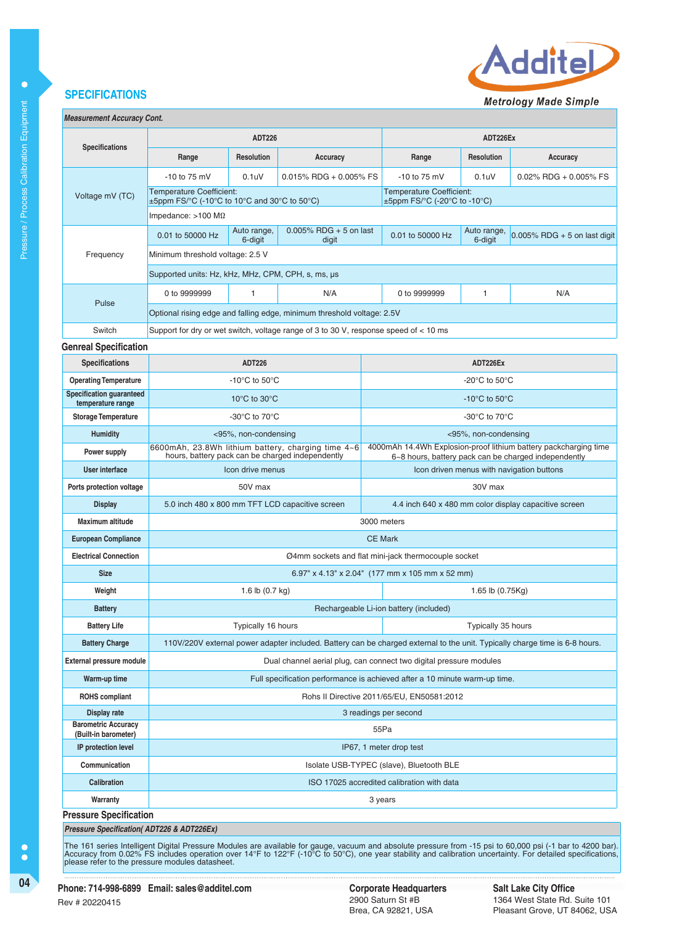

**Metrology Made Simple** 

| <b>Measurement Accuracy Cont.</b> |  |
|-----------------------------------|--|
|                                   |  |

| measurennem Accuracy Com.                             |                                                                                                                             |                                                              |                                                                                        |                                                                                                                          |                                                                                                     |                                                     |                                                       |  |
|-------------------------------------------------------|-----------------------------------------------------------------------------------------------------------------------------|--------------------------------------------------------------|----------------------------------------------------------------------------------------|--------------------------------------------------------------------------------------------------------------------------|-----------------------------------------------------------------------------------------------------|-----------------------------------------------------|-------------------------------------------------------|--|
| <b>Specifications</b>                                 | <b>ADT226</b>                                                                                                               |                                                              |                                                                                        |                                                                                                                          | ADT226Ex                                                                                            |                                                     |                                                       |  |
|                                                       | Range                                                                                                                       | Resolution                                                   | Accuracy                                                                               |                                                                                                                          | Range                                                                                               | Resolution                                          | Accuracy                                              |  |
|                                                       | $-10$ to 75 mV                                                                                                              | 0.1 <sub>u</sub>                                             | $0.015\%$ RDG + 0.005% FS                                                              |                                                                                                                          | $-10$ to 75 mV                                                                                      | 0.1 <sub>u</sub>                                    | $0.02\%$ RDG + 0.005% FS                              |  |
| Voltage mV (TC)                                       | <b>Temperature Coefficient:</b><br>$\pm$ 5ppm FS/°C (-10°C to 10°C and 30°C to 50°C)                                        |                                                              |                                                                                        |                                                                                                                          | <b>Temperature Coefficient:</b><br>$\pm 5$ ppm FS/ $\degree$ C (-20 $\degree$ C to -10 $\degree$ C) |                                                     |                                                       |  |
|                                                       | Impedance: $>100$ M $\Omega$                                                                                                |                                                              |                                                                                        |                                                                                                                          |                                                                                                     |                                                     |                                                       |  |
|                                                       | 0.01 to 50000 Hz                                                                                                            | $0.005\%$ RDG + 5 on last<br>Auto range,<br>6-digit<br>digit |                                                                                        |                                                                                                                          | 0.01 to 50000 Hz                                                                                    | Auto range,<br>6-digit                              | $0.005\%$ RDG + 5 on last digit                       |  |
| Frequency                                             | Minimum threshold voltage: 2.5 V                                                                                            |                                                              |                                                                                        |                                                                                                                          |                                                                                                     |                                                     |                                                       |  |
|                                                       | Supported units: Hz, kHz, MHz, CPM, CPH, s, ms, µs                                                                          |                                                              |                                                                                        |                                                                                                                          |                                                                                                     |                                                     |                                                       |  |
|                                                       | 0 to 9999999                                                                                                                | 1                                                            | N/A                                                                                    |                                                                                                                          | 0 to 9999999                                                                                        | 1                                                   | N/A                                                   |  |
| Pulse                                                 |                                                                                                                             |                                                              | Optional rising edge and falling edge, minimum threshold voltage: 2.5V                 |                                                                                                                          |                                                                                                     |                                                     |                                                       |  |
| Switch                                                |                                                                                                                             |                                                              | Support for dry or wet switch, voltage range of 3 to 30 V, response speed of $<$ 10 ms |                                                                                                                          |                                                                                                     |                                                     |                                                       |  |
| <b>Genreal Specification</b>                          |                                                                                                                             |                                                              |                                                                                        |                                                                                                                          |                                                                                                     |                                                     |                                                       |  |
| <b>Specifications</b>                                 |                                                                                                                             | <b>ADT226</b>                                                |                                                                                        |                                                                                                                          |                                                                                                     | ADT226Ex                                            |                                                       |  |
| <b>Operating Temperature</b>                          |                                                                                                                             | -10 $\mathrm{^{\circ}C}$ to 50 $\mathrm{^{\circ}C}$          |                                                                                        |                                                                                                                          |                                                                                                     | -20 $\mathrm{^{\circ}C}$ to 50 $\mathrm{^{\circ}C}$ |                                                       |  |
| <b>Specification guaranteed</b><br>temperature range  |                                                                                                                             | 10 $\rm{^{\circ}C}$ to 30 $\rm{^{\circ}C}$                   |                                                                                        |                                                                                                                          |                                                                                                     | -10 $\mathrm{^{\circ}C}$ to 50 $\mathrm{^{\circ}C}$ |                                                       |  |
| <b>Storage Temperature</b>                            | -30 $\rm{^{\circ}C}$ to 70 $\rm{^{\circ}C}$                                                                                 |                                                              |                                                                                        | -30 $\rm{^{\circ}C}$ to 70 $\rm{^{\circ}C}$                                                                              |                                                                                                     |                                                     |                                                       |  |
| <b>Humidity</b>                                       | <95%, non-condensing                                                                                                        |                                                              |                                                                                        | <95%, non-condensing                                                                                                     |                                                                                                     |                                                     |                                                       |  |
| Power supply                                          | 6600mAh, 23.8Wh lithium battery, charging time 4~6<br>hours, battery pack can be charged independently                      |                                                              |                                                                                        | 4000mAh 14.4Wh Explosion-proof lithium battery packcharging time<br>6~8 hours, battery pack can be charged independently |                                                                                                     |                                                     |                                                       |  |
| User interface                                        | Icon drive menus                                                                                                            |                                                              |                                                                                        |                                                                                                                          | Icon driven menus with navigation buttons                                                           |                                                     |                                                       |  |
| Ports protection voltage                              | 50V max                                                                                                                     |                                                              |                                                                                        |                                                                                                                          |                                                                                                     | 30V max                                             |                                                       |  |
| <b>Display</b>                                        | 5.0 inch 480 x 800 mm TFT LCD capacitive screen                                                                             |                                                              |                                                                                        |                                                                                                                          |                                                                                                     |                                                     | 4.4 inch 640 x 480 mm color display capacitive screen |  |
| <b>Maximum altitude</b>                               | 3000 meters                                                                                                                 |                                                              |                                                                                        |                                                                                                                          |                                                                                                     |                                                     |                                                       |  |
| <b>European Compliance</b>                            | <b>CE Mark</b>                                                                                                              |                                                              |                                                                                        |                                                                                                                          |                                                                                                     |                                                     |                                                       |  |
| <b>Electrical Connection</b>                          | Ø4mm sockets and flat mini-jack thermocouple socket                                                                         |                                                              |                                                                                        |                                                                                                                          |                                                                                                     |                                                     |                                                       |  |
| <b>Size</b>                                           |                                                                                                                             |                                                              |                                                                                        |                                                                                                                          | 6.97" x 4.13" x 2.04" (177 mm x 105 mm x 52 mm)                                                     |                                                     |                                                       |  |
| Weight                                                |                                                                                                                             | 1.6 lb (0.7 kg)                                              |                                                                                        |                                                                                                                          |                                                                                                     | 1.65 lb (0.75Kg)                                    |                                                       |  |
| <b>Battery</b>                                        |                                                                                                                             |                                                              |                                                                                        |                                                                                                                          | Rechargeable Li-ion battery (included)                                                              |                                                     |                                                       |  |
| <b>Battery Life</b>                                   |                                                                                                                             | Typically 16 hours                                           |                                                                                        |                                                                                                                          | Typically 35 hours                                                                                  |                                                     |                                                       |  |
| <b>Battery Charge</b>                                 | 110V/220V external power adapter included. Battery can be charged external to the unit. Typically charge time is 6-8 hours. |                                                              |                                                                                        |                                                                                                                          |                                                                                                     |                                                     |                                                       |  |
| <b>External pressure module</b>                       | Dual channel aerial plug, can connect two digital pressure modules                                                          |                                                              |                                                                                        |                                                                                                                          |                                                                                                     |                                                     |                                                       |  |
| Warm-up time                                          |                                                                                                                             |                                                              | Full specification performance is achieved after a 10 minute warm-up time.             |                                                                                                                          |                                                                                                     |                                                     |                                                       |  |
| <b>ROHS</b> compliant                                 | Rohs II Directive 2011/65/EU, EN50581:2012                                                                                  |                                                              |                                                                                        |                                                                                                                          |                                                                                                     |                                                     |                                                       |  |
| Display rate                                          | 3 readings per second                                                                                                       |                                                              |                                                                                        |                                                                                                                          |                                                                                                     |                                                     |                                                       |  |
| <b>Barometric Accuracy</b><br>(Built-in barometer)    | 55Pa                                                                                                                        |                                                              |                                                                                        |                                                                                                                          |                                                                                                     |                                                     |                                                       |  |
| IP protection level                                   | IP67, 1 meter drop test                                                                                                     |                                                              |                                                                                        |                                                                                                                          |                                                                                                     |                                                     |                                                       |  |
| Communication                                         | Isolate USB-TYPEC (slave), Bluetooth BLE                                                                                    |                                                              |                                                                                        |                                                                                                                          |                                                                                                     |                                                     |                                                       |  |
| Calibration                                           | ISO 17025 accredited calibration with data                                                                                  |                                                              |                                                                                        |                                                                                                                          |                                                                                                     |                                                     |                                                       |  |
| Warranty                                              | 3 years                                                                                                                     |                                                              |                                                                                        |                                                                                                                          |                                                                                                     |                                                     |                                                       |  |
| <b>Pressure Specification</b>                         |                                                                                                                             |                                                              |                                                                                        |                                                                                                                          |                                                                                                     |                                                     |                                                       |  |
| <b>Pressure Specification( ADT226 &amp; ADT226Ex)</b> |                                                                                                                             |                                                              |                                                                                        |                                                                                                                          |                                                                                                     |                                                     |                                                       |  |

The 161 series Intelligent Digital Pressure Modules are available for gauge, vacuum and absolute pressure from -15 psi to 60,000 psi (-1 bar to 4200 bar).<br>Accuracy from 0.02% FS includes operation over 14°F to 122°F (-10°C

 $\bullet$ 

 $\bullet$ 

2900 Saturn St #B Brea, CA 92821, USA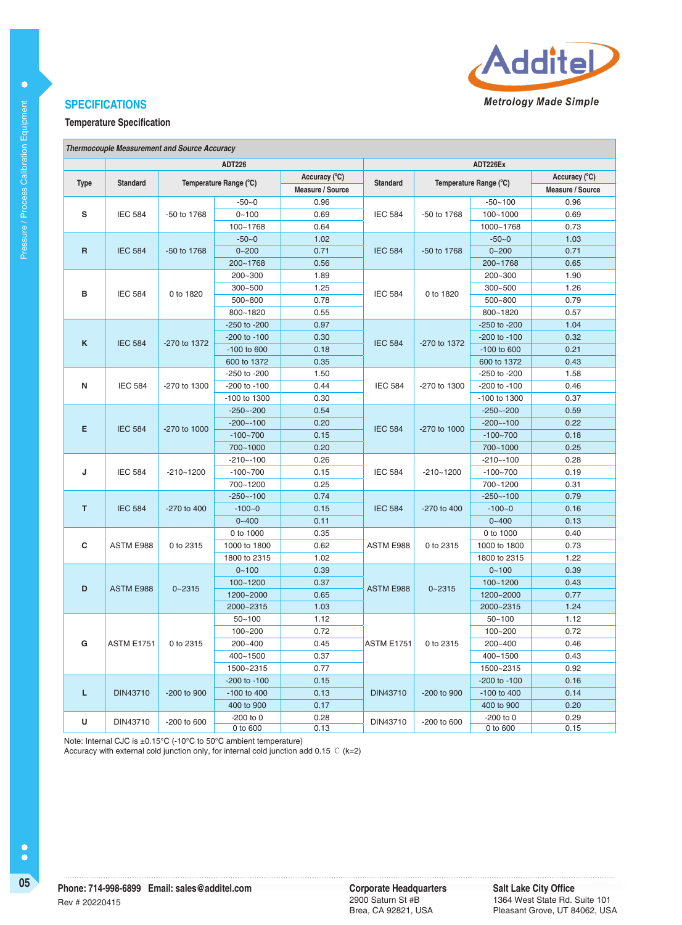

#### **Temperature Specification**

|                                | <b>Thermocouple Measurement and Source Accuracy</b> |                        |               |                  |                   |               |                        |                         |
|--------------------------------|-----------------------------------------------------|------------------------|---------------|------------------|-------------------|---------------|------------------------|-------------------------|
|                                |                                                     |                        | <b>ADT226</b> | ADT226Ex         |                   |               |                        |                         |
| <b>Type</b><br><b>Standard</b> |                                                     | Temperature Range (°C) |               | Accuracy (°C)    |                   |               |                        | Accuracy (°C)           |
|                                |                                                     |                        |               | Measure / Source | Standard          |               | Temperature Range (°C) | <b>Measure / Source</b> |
|                                |                                                     | $-50 - 0$              | 0.96          |                  |                   | $-50 - 100$   | 0.96                   |                         |
| s                              | <b>IEC 584</b>                                      | -50 to 1768            | $0 - 100$     | 0.69             | <b>IEC 584</b>    | -50 to 1768   | $100 - 1000$           | 0.69                    |
|                                |                                                     |                        | 100~1768      | 0.64             |                   |               | 1000~1768              | 0.73                    |
|                                |                                                     | -50 to 1768            | $-50-0$       | 1.02             |                   | -50 to 1768   | $-50-0$                | 1.03                    |
| R                              | <b>IEC 584</b>                                      |                        | $0 - 200$     | 0.71             | <b>IEC 584</b>    |               | $0 - 200$              | 0.71                    |
|                                |                                                     |                        | 200~1768      | 0.56             |                   |               | 200~1768               | 0.65                    |
|                                |                                                     |                        | 200~300       | 1.89             |                   | 0 to 1820     | 200~300                | 1.90                    |
| в                              | <b>IEC 584</b>                                      | 0 to 1820              | $300 - 500$   | 1.25             | <b>IEC 584</b>    |               | 300~500                | 1.26                    |
|                                |                                                     |                        | 500~800       | 0.78             |                   |               | 500~800                | 0.79                    |
|                                |                                                     |                        | 800~1820      | 0.55             |                   |               | 800~1820               | 0.57                    |
|                                |                                                     |                        | -250 to -200  | 0.97             |                   |               | -250 to -200           | 1.04                    |
| $\mathsf K$                    | <b>IEC 584</b>                                      | -270 to 1372           | -200 to -100  | 0.30             | <b>IEC 584</b>    | -270 to 1372  | -200 to -100           | 0.32                    |
|                                |                                                     |                        | -100 to 600   | 0.18             |                   |               | -100 to 600            | 0.21                    |
|                                |                                                     |                        | 600 to 1372   | 0.35             |                   |               | 600 to 1372            | 0.43                    |
|                                |                                                     | -270 to 1300           | -250 to -200  | 1.50             |                   | -270 to 1300  | -250 to -200           | 1.58                    |
| N                              | <b>IEC 584</b>                                      |                        | -200 to -100  | 0.44             | <b>IEC 584</b>    |               | -200 to -100           | 0.46                    |
|                                |                                                     |                        | -100 to 1300  | 0.30             |                   |               | -100 to 1300           | 0.37                    |
|                                |                                                     | -270 to 1000           | $-250 - -200$ | 0.54             | <b>IEC 584</b>    | -270 to 1000  | $-250 - -200$          | 0.59                    |
| Е                              | <b>IEC 584</b>                                      |                        | $-200 - 100$  | 0.20             |                   |               | $-200 - 100$           | 0.22                    |
|                                |                                                     |                        | $-100 - 700$  | 0.15             |                   |               | $-100 - 700$           | 0.18                    |
|                                |                                                     |                        | 700~1000      | 0.20             |                   |               | 700~1000               | 0.25                    |
|                                |                                                     | $-210 - 1200$          | $-210 - -100$ | 0.26             | <b>IEC 584</b>    | $-210 - 1200$ | $-210 - -100$          | 0.28                    |
| J                              | <b>IEC 584</b>                                      |                        | $-100 - 700$  | 0.15             |                   |               | $-100 - 700$           | 0.19                    |
|                                |                                                     |                        | 700~1200      | 0.25             |                   |               | 700~1200               | 0.31                    |
|                                |                                                     | -270 to 400            | $-250 - -100$ | 0.74             | <b>IEC 584</b>    | -270 to 400   | $-250 - -100$          | 0.79                    |
| T                              | <b>IEC 584</b>                                      |                        | $-100 - 0$    | 0.15             |                   |               | $-100 - 0$             | 0.16                    |
|                                |                                                     |                        | $0 - 400$     | 0.11             |                   |               | $0 - 400$              | 0.13                    |
|                                |                                                     | 0 to 2315              | 0 to 1000     | 0.35             |                   |               | 0 to 1000              | 0.40                    |
| c                              | ASTM E988                                           |                        | 1000 to 1800  | 0.62             | ASTM E988         | 0 to 2315     | 1000 to 1800           | 0.73                    |
|                                |                                                     |                        | 1800 to 2315  | 1.02             |                   |               | 1800 to 2315           | 1.22                    |
|                                |                                                     | $0 - 2315$             | $0 - 100$     | 0.39             |                   |               | $0 - 100$              | 0.39                    |
| D                              | ASTM E988                                           |                        | $100 - 1200$  | 0.37             | ASTM E988         | $0 - 2315$    | $100 - 1200$           | 0.43                    |
|                                |                                                     |                        | 1200~2000     | 0.65             |                   |               | 1200~2000              | 0.77                    |
|                                |                                                     |                        | 2000~2315     | 1.03             |                   |               | 2000~2315              | 1.24                    |
|                                |                                                     |                        | $50 - 100$    | 1.12             |                   |               | $50 - 100$             | 1.12                    |
|                                |                                                     |                        | 100~200       | 0.72             |                   |               | 100~200                | 0.72                    |
| G                              | <b>ASTM E1751</b>                                   | 0 to 2315              | 200~400       | 0.45             | <b>ASTM E1751</b> | 0 to 2315     | 200~400                | 0.46                    |
|                                |                                                     |                        | 400~1500      | 0.37             |                   |               | 400~1500               | 0.43                    |
|                                |                                                     |                        | 1500~2315     | 0.77             |                   |               | 1500~2315              | 0.92                    |
|                                |                                                     |                        | -200 to -100  | 0.15             |                   |               | -200 to -100           | 0.16                    |
| L                              | DIN43710                                            | -200 to 900            | -100 to 400   | 0.13             | <b>DIN43710</b>   | -200 to 900   | -100 to 400            | 0.14                    |
|                                |                                                     |                        | 400 to 900    | 0.17             |                   |               | 400 to 900             | 0.20                    |
| U                              | DIN43710                                            | -200 to 600            | $-200$ to $0$ | 0.28             | DIN43710          | -200 to 600   | $-200$ to $0$          | 0.29                    |
|                                |                                                     | 0 to 600               | 0.13          |                  |                   | 0 to 600      | 0.15                   |                         |

Note: Internal CJC is ±0.15°C (-10°C to 50°C ambient temperature)

Accuracy with external cold junction only, for internal cold junction add 0.15 ℃ (k=2)

 $\bullet$ 

 $\bullet$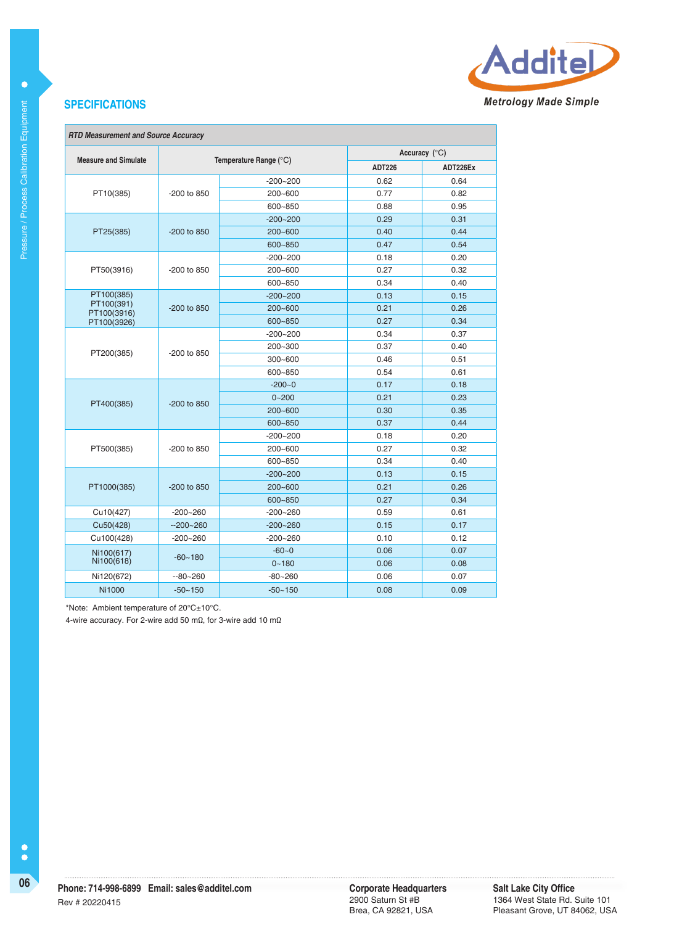

|                             |               |                        | Accuracy $(^{\circ}C)$ |          |  |
|-----------------------------|---------------|------------------------|------------------------|----------|--|
| <b>Measure and Simulate</b> |               | Temperature Range (°C) | <b>ADT226</b>          | ADT226Ex |  |
|                             |               | $-200 - 200$           | 0.62                   | 0.64     |  |
| PT10(385)                   | -200 to 850   | 200~600                | 0.77                   | 0.82     |  |
|                             |               | 600~850                | 0.88                   | 0.95     |  |
|                             |               | $-200 - 200$           | 0.29                   | 0.31     |  |
| PT25(385)                   | $-200$ to 850 | $200 - 600$            | 0.40                   | 0.44     |  |
|                             |               | 600~850                | 0.47                   | 0.54     |  |
|                             |               | $-200 - 200$           | 0.18                   | 0.20     |  |
| PT50(3916)                  | $-200$ to 850 | 200~600                | 0.27                   | 0.32     |  |
|                             |               | 600~850                | 0.34                   | 0.40     |  |
| PT100(385)                  |               | $-200 - 200$           | 0.13                   | 0.15     |  |
| PT100(391)<br>PT100(3916)   | -200 to 850   | $200 - 600$            | 0.21                   | 0.26     |  |
| PT100(3926)                 |               | 600~850                | 0.27                   | 0.34     |  |
|                             | $-200$ to 850 | $-200 - 200$           | 0.34                   | 0.37     |  |
| PT200(385)                  |               | 200~300                | 0.37                   | 0.40     |  |
|                             |               | $300 - 600$            | 0.46                   | 0.51     |  |
|                             |               | 600~850                | 0.54                   | 0.61     |  |
|                             |               | $-200 - 0$             | 0.17                   | 0.18     |  |
| PT400(385)                  | -200 to 850   | $0 - 200$              | 0.21                   | 0.23     |  |
|                             |               | $200 - 600$            | 0.30                   | 0.35     |  |
|                             |               | 600~850                | 0.37                   | 0.44     |  |
|                             |               | $-200 - 200$           | 0.18                   | 0.20     |  |
| PT500(385)                  | $-200$ to 850 | 200~600                | 0.27                   | 0.32     |  |
|                             |               | 600~850                | 0.34                   | 0.40     |  |
|                             |               | $-200 - 200$           | 0.13                   | 0.15     |  |
| PT1000(385)                 | -200 to 850   | $200 - 600$            | 0.21                   | 0.26     |  |
|                             |               | 600~850                | 0.27                   | 0.34     |  |
| Cu10(427)                   | $-200 - 260$  | $-200 - 260$           | 0.59                   | 0.61     |  |
| Cu50(428)                   | $-200 - 260$  | $-200 - 260$           | 0.15                   | 0.17     |  |
| Cu100(428)                  | $-200 - 260$  | $-200 - 260$           | 0.10                   | 0.12     |  |
| Ni100(617)                  | $-60 - 180$   | $-60-0$                | 0.06                   | 0.07     |  |
| Ni100(618)                  |               | $0 - 180$              | 0.06                   | 0.08     |  |
| Ni120(672)                  | $-80 - 260$   | $-80 - 260$            | 0.06                   | 0.07     |  |
| <b>Ni1000</b>               | $-50 - 150$   | $-50 - 150$            | 0.08                   | 0.09     |  |

\*Note: Ambient temperature of 20°C±10°C.

4-wire accuracy. For 2-wire add 50 mΩ, for 3-wire add 10 mΩ

 $\bullet$